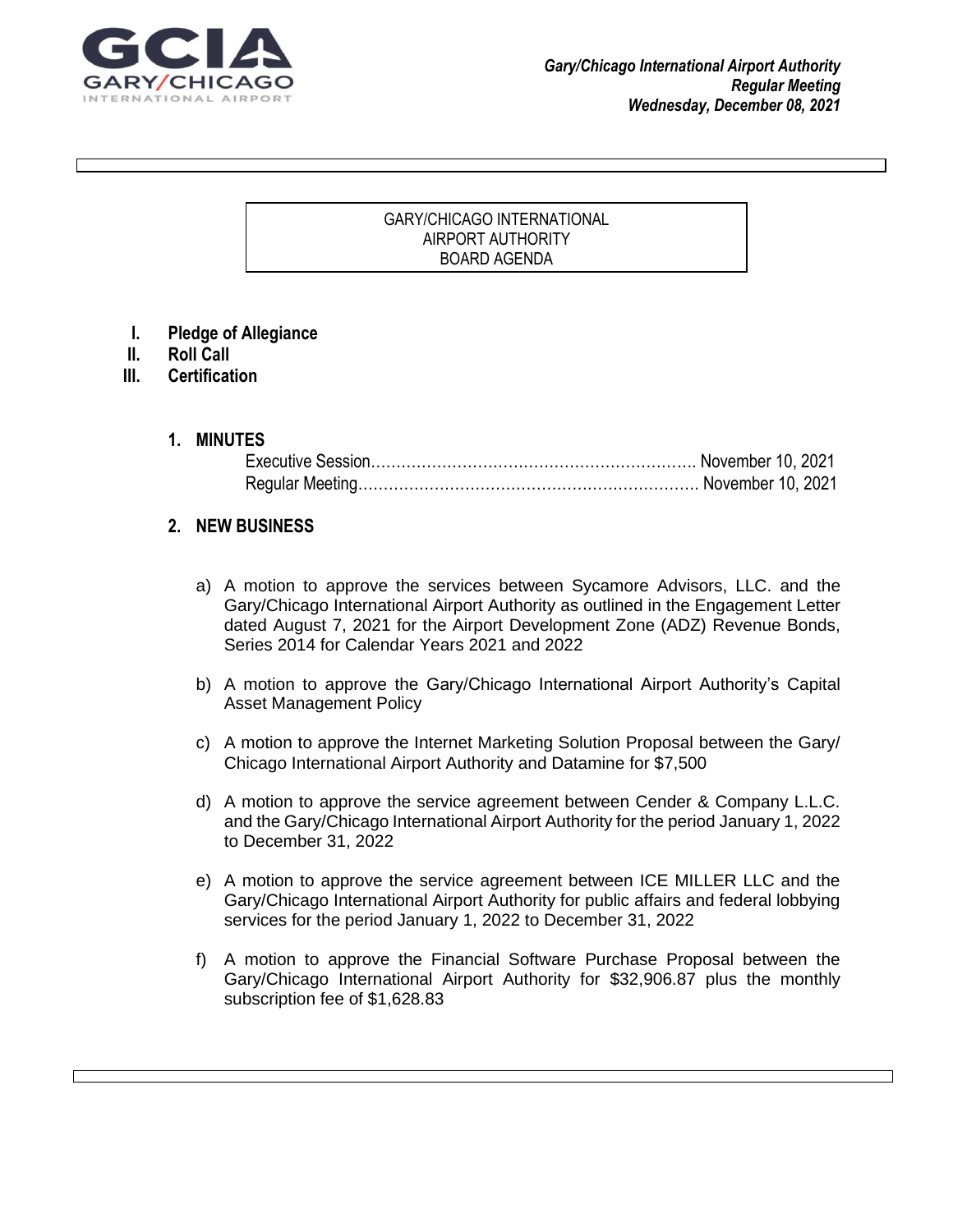

#### GARY/CHICAGO INTERNATIONAL AIRPORT AUTHORITY BOARD AGENDA

 $\Gamma$  grad your reader to attention with a great  $\sigma$  great  $\sigma$  and  $\sigma$  use this space to emphasize and  $\sigma$ 

key point. To place the place this text box anywhere on the page, just drag it. It is the page, just drag it.

- **I. Pledge of Allegiance**
- **II. Roll Call**
- **III. Certification**
	- **1. MINUTES**

#### **2. NEW BUSINESS**

- a) A motion to approve the services between Sycamore Advisors, LLC. and the Gary/Chicago International Airport Authority as outlined in the Engagement Letter dated August 7, 2021 for the Airport Development Zone (ADZ) Revenue Bonds, Series 2014 for Calendar Years 2021 and 2022
- b) A motion to approve the Gary/Chicago International Airport Authority's Capital Asset Management Policy
- c) A motion to approve the Internet Marketing Solution Proposal between the Gary/ Chicago International Airport Authority and Datamine for \$7,500
- d) A motion to approve the service agreement between Cender & Company L.L.C. and the Gary/Chicago International Airport Authority for the period January 1, 2022 to December 31, 2022
- e) A motion to approve the service agreement between ICE MILLER LLC and the Gary/Chicago International Airport Authority for public affairs and federal lobbying services for the period January 1, 2022 to December 31, 2022
- f) A motion to approve the Financial Software Purchase Proposal between the Gary/Chicago International Airport Authority for \$32,906.87 plus the monthly subscription fee of \$1,628.83